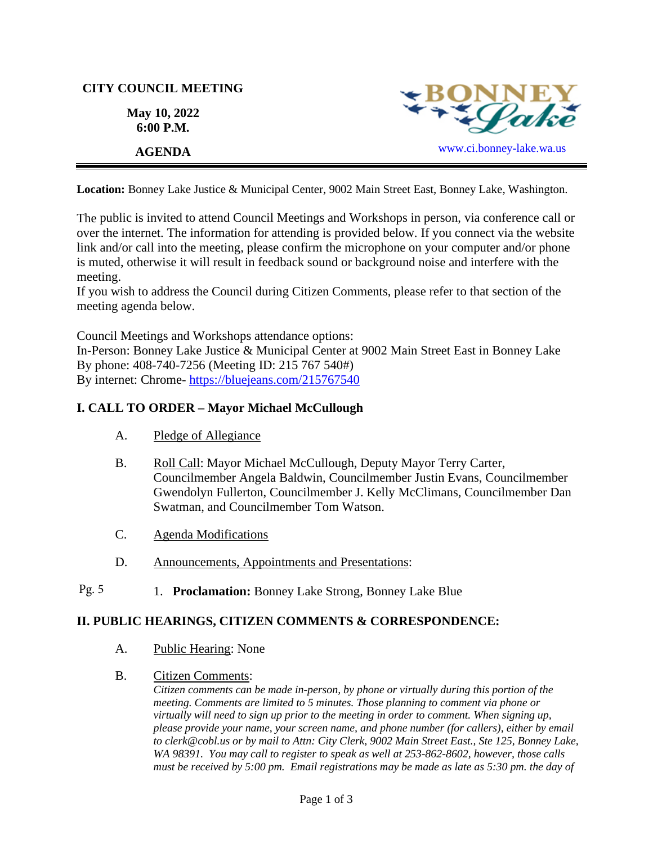# **CITY COUNCIL MEETING**

**May 10, 2022 6:00 P.M.** 



**Location:** Bonney Lake Justice & Municipal Center, 9002 Main Street East, Bonney Lake, Washington.

The public is invited to attend Council Meetings and Workshops in person, via conference call or over the internet. The information for attending is provided below. If you connect via the website link and/or call into the meeting, please confirm the microphone on your computer and/or phone is muted, otherwise it will result in feedback sound or background noise and interfere with the meeting.

If you wish to address the Council during Citizen Comments, please refer to that section of the meeting agenda below.

Council Meetings and Workshops attendance options:

In-Person: Bonney Lake Justice & Municipal Center at 9002 Main Street East in Bonney Lake By phone: 408-740-7256 (Meeting ID: 215 767 540#) By internet: Chrome- [https://bluejeans.com/215767540](https://bluejeans.com/215767540?src=calendarLink&flow=joinmeeting)

# **I. CALL TO ORDER – Mayor Michael McCullough**

- A. Pledge of Allegiance
- B. Roll Call: Mayor Michael McCullough, Deputy Mayor Terry Carter, Councilmember Angela Baldwin, Councilmember Justin Evans, Councilmember Gwendolyn Fullerton, Councilmember J. Kelly McClimans, Councilmember Dan Swatman, and Councilmember Tom Watson.
- C. Agenda Modifications
- D. Announcements, Appointments and Presentations:
- 1. **Proclamation:** Bonney Lake Strong, Bonney Lake Blue Pg. 5

# **II. PUBLIC HEARINGS, CITIZEN COMMENTS & CORRESPONDENCE:**

- A. Public Hearing: None
- B. Citizen Comments:

*Citizen comments can be made in-person, by phone or virtually during this portion of the meeting. Comments are limited to 5 minutes. Those planning to comment via phone or virtually will need to sign up prior to the meeting in order to comment. When signing up, please provide your name, your screen name, and phone number (for callers), either by email to clerk@cobl.us or by mail to Attn: City Clerk, 9002 Main Street East., Ste 125, Bonney Lake, WA 98391. You may call to register to speak as well at 253-862-8602, however, those calls must be received by 5:00 pm. Email registrations may be made as late as 5:30 pm. the day of*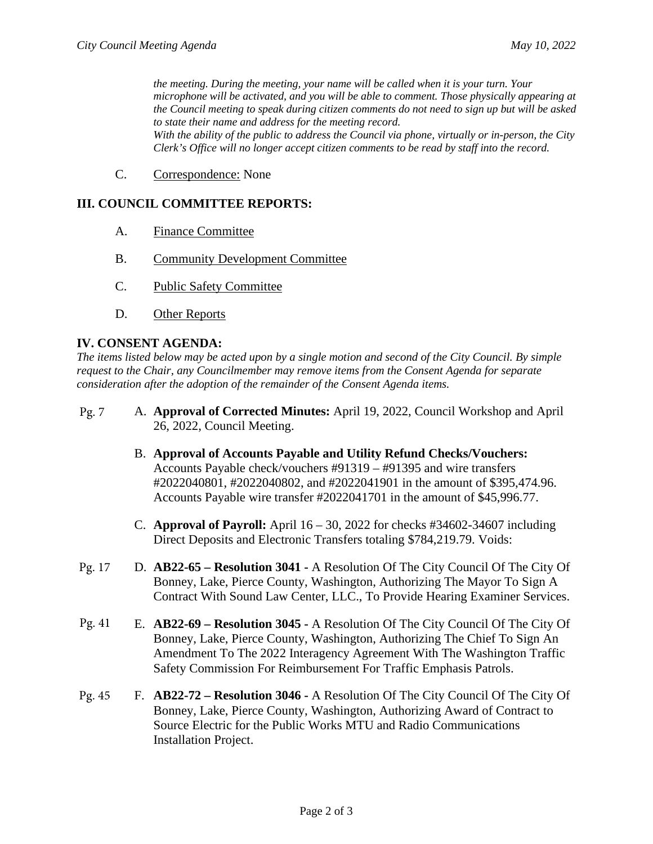*the meeting. During the meeting, your name will be called when it is your turn. Your microphone will be activated, and you will be able to comment. Those physically appearing at the Council meeting to speak during citizen comments do not need to sign up but will be asked to state their name and address for the meeting record. With the ability of the public to address the Council via phone, virtually or in-person, the City Clerk's Office will no longer accept citizen comments to be read by staff into the record.*

C. Correspondence: None

## **III. COUNCIL COMMITTEE REPORTS:**

- A. Finance Committee
- B. Community Development Committee
- C. Public Safety Committee
- D. Other Reports

### **IV. CONSENT AGENDA:**

*The items listed below may be acted upon by a single motion and second of the City Council. By simple request to the Chair, any Councilmember may remove items from the Consent Agenda for separate consideration after the adoption of the remainder of the Consent Agenda items.*

- A. **Approval of Corrected Minutes:** April 19, 2022, Council Workshop and April 26, 2022, Council Meeting. Pg. 7
	- B. **Approval of Accounts Payable and Utility Refund Checks/Vouchers:** Accounts Payable check/vouchers #91319 – #91395 and wire transfers #2022040801, #2022040802, and #2022041901 in the amount of \$395,474.96. Accounts Payable wire transfer #2022041701 in the amount of \$45,996.77.
	- C. **Approval of Payroll:** April 16 30, 2022 for checks #34602-34607 including Direct Deposits and Electronic Transfers totaling \$784,219.79. Voids:
- D. **AB22-65 Resolution 3041 -** A Resolution Of The City Council Of The City Of Bonney, Lake, Pierce County, Washington, Authorizing The Mayor To Sign A Contract With Sound Law Center, LLC., To Provide Hearing Examiner Services. Pg. 17
- E. **AB22-69 Resolution 3045 -** A Resolution Of The City Council Of The City Of Bonney, Lake, Pierce County, Washington, Authorizing The Chief To Sign An Amendment To The 2022 Interagency Agreement With The Washington Traffic Safety Commission For Reimbursement For Traffic Emphasis Patrols. Pg. 41
- F. **AB22-72 Resolution 3046 -** A Resolution Of The City Council Of The City Of Bonney, Lake, Pierce County, Washington, Authorizing Award of Contract to Source Electric for the Public Works MTU and Radio Communications Installation Project. Pg. 45